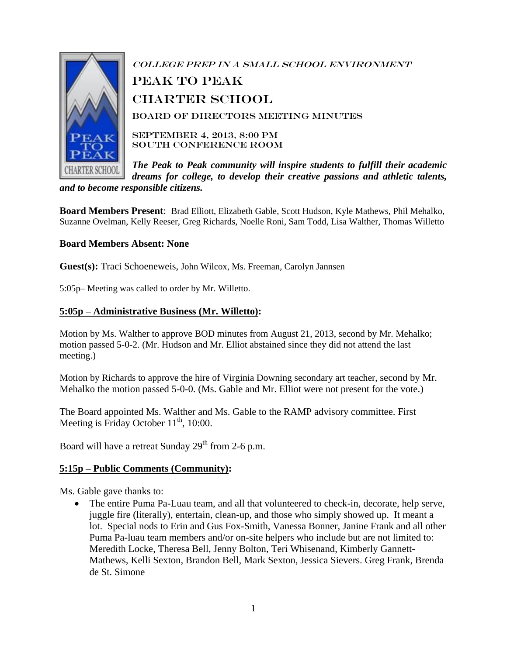

College Prep in a Small School Environment peak to Peak Charter School Board of Directors Meeting Minutes SEPTEMBER 4, 2013, 8:00 PM South Conference Room

*The Peak to Peak community will inspire students to fulfill their academic dreams for college, to develop their creative passions and athletic talents, and to become responsible citizens.*

**Board Members Present**: Brad Elliott, Elizabeth Gable, Scott Hudson, Kyle Mathews, Phil Mehalko, Suzanne Ovelman, Kelly Reeser, Greg Richards, Noelle Roni, Sam Todd, Lisa Walther, Thomas Willetto

### **Board Members Absent: None**

**Guest(s):** Traci Schoeneweis, John Wilcox, Ms. Freeman, Carolyn Jannsen

5:05p– Meeting was called to order by Mr. Willetto.

### **5:05p – Administrative Business (Mr. Willetto):**

Motion by Ms. Walther to approve BOD minutes from August 21, 2013, second by Mr. Mehalko; motion passed 5-0-2. (Mr. Hudson and Mr. Elliot abstained since they did not attend the last meeting.)

Motion by Richards to approve the hire of Virginia Downing secondary art teacher, second by Mr. Mehalko the motion passed 5-0-0. (Ms. Gable and Mr. Elliot were not present for the vote.)

The Board appointed Ms. Walther and Ms. Gable to the RAMP advisory committee. First Meeting is Friday October  $11<sup>th</sup>$ , 10:00.

Board will have a retreat Sunday  $29<sup>th</sup>$  from 2-6 p.m.

### **5:15p – Public Comments (Community):**

Ms. Gable gave thanks to:

 The entire Puma Pa-Luau team, and all that volunteered to check-in, decorate, help serve, juggle fire (literally), entertain, clean-up, and those who simply showed up. It meant a lot. Special nods to Erin and Gus Fox-Smith, Vanessa Bonner, Janine Frank and all other Puma Pa-luau team members and/or on-site helpers who include but are not limited to: Meredith Locke, Theresa Bell, Jenny Bolton, Teri Whisenand, Kimberly Gannett-Mathews, Kelli Sexton, Brandon Bell, Mark Sexton, Jessica Sievers. Greg Frank, Brenda de St. Simone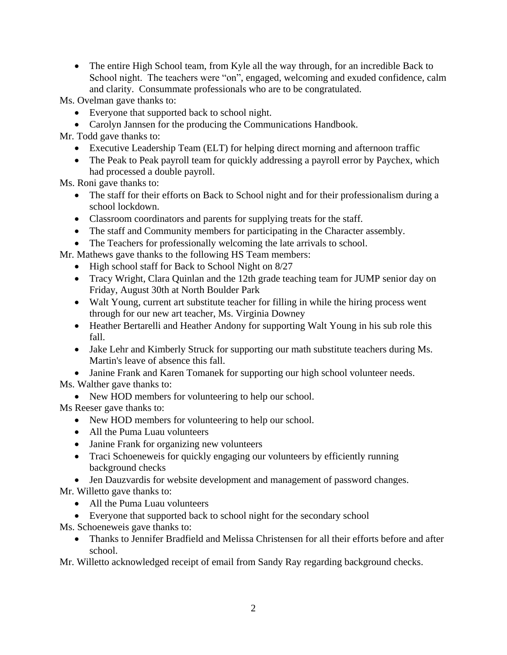• The entire High School team, from Kyle all the way through, for an incredible Back to School night. The teachers were "on", engaged, welcoming and exuded confidence, calm and clarity. Consummate professionals who are to be congratulated.

Ms. Ovelman gave thanks to:

- Everyone that supported back to school night.
- Carolyn Jannsen for the producing the Communications Handbook.

Mr. Todd gave thanks to:

- Executive Leadership Team (ELT) for helping direct morning and afternoon traffic
- The Peak to Peak payroll team for quickly addressing a payroll error by Paychex, which had processed a double payroll.

Ms. Roni gave thanks to:

- The staff for their efforts on Back to School night and for their professionalism during a school lockdown.
- Classroom coordinators and parents for supplying treats for the staff.
- The staff and Community members for participating in the Character assembly.
- The Teachers for professionally welcoming the late arrivals to school.
- Mr. Mathews gave thanks to the following HS Team members:
	- High school staff for Back to School Night on 8/27
	- Tracy Wright, Clara Quinlan and the 12th grade teaching team for JUMP senior day on Friday, August 30th at North Boulder Park
	- Walt Young, current art substitute teacher for filling in while the hiring process went through for our new art teacher, Ms. Virginia Downey
	- Heather Bertarelli and Heather Andony for supporting Walt Young in his sub role this fall.
	- Jake Lehr and Kimberly Struck for supporting our math substitute teachers during Ms. Martin's leave of absence this fall.
	- Janine Frank and Karen Tomanek for supporting our high school volunteer needs.

Ms. Walther gave thanks to:

• New HOD members for volunteering to help our school.

Ms Reeser gave thanks to:

- New HOD members for volunteering to help our school.
- All the Puma Luau volunteers
- Janine Frank for organizing new volunteers
- Traci Schoeneweis for quickly engaging our volunteers by efficiently running background checks
- Jen Dauzvardis for website development and management of password changes. Mr. Willetto gave thanks to:
	- All the Puma Luau volunteers
	- Everyone that supported back to school night for the secondary school
- Ms. Schoeneweis gave thanks to:
	- Thanks to Jennifer Bradfield and Melissa Christensen for all their efforts before and after school.

Mr. Willetto acknowledged receipt of email from Sandy Ray regarding background checks.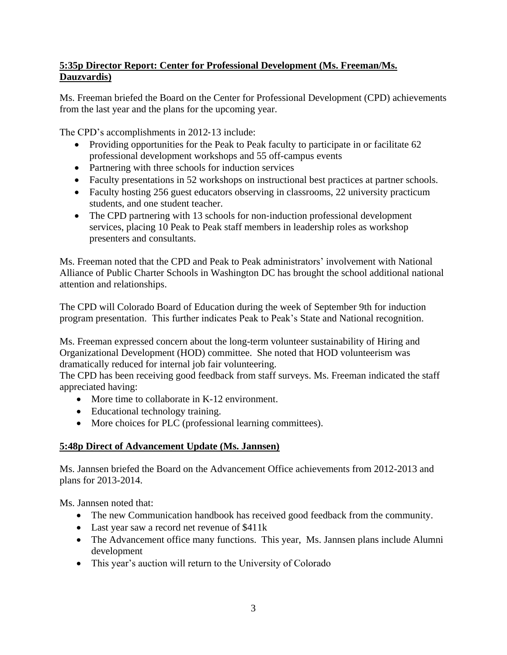# **5:35p Director Report: Center for Professional Development (Ms. Freeman/Ms. Dauzvardis)**

Ms. Freeman briefed the Board on the Center for Professional Development (CPD) achievements from the last year and the plans for the upcoming year.

The CPD's accomplishments in 2012‐13 include:

- Providing opportunities for the Peak to Peak faculty to participate in or facilitate 62 professional development workshops and 55 off-campus events
- Partnering with three schools for induction services
- Faculty presentations in 52 workshops on instructional best practices at partner schools.
- Faculty hosting 256 guest educators observing in classrooms, 22 university practicum students, and one student teacher.
- The CPD partnering with 13 schools for non-induction professional development services, placing 10 Peak to Peak staff members in leadership roles as workshop presenters and consultants.

Ms. Freeman noted that the CPD and Peak to Peak administrators' involvement with National Alliance of Public Charter Schools in Washington DC has brought the school additional national attention and relationships.

The CPD will Colorado Board of Education during the week of September 9th for induction program presentation. This further indicates Peak to Peak's State and National recognition.

Ms. Freeman expressed concern about the long-term volunteer sustainability of Hiring and Organizational Development (HOD) committee. She noted that HOD volunteerism was dramatically reduced for internal job fair volunteering.

The CPD has been receiving good feedback from staff surveys. Ms. Freeman indicated the staff appreciated having:

- More time to collaborate in K-12 environment.
- Educational technology training.
- More choices for PLC (professional learning committees).

# **5:48p Direct of Advancement Update (Ms. Jannsen)**

Ms. Jannsen briefed the Board on the Advancement Office achievements from 2012-2013 and plans for 2013-2014.

Ms. Jannsen noted that:

- The new Communication handbook has received good feedback from the community.
- Last year saw a record net revenue of \$411k
- The Advancement office many functions. This year, Ms. Jannsen plans include Alumni development
- This year's auction will return to the University of Colorado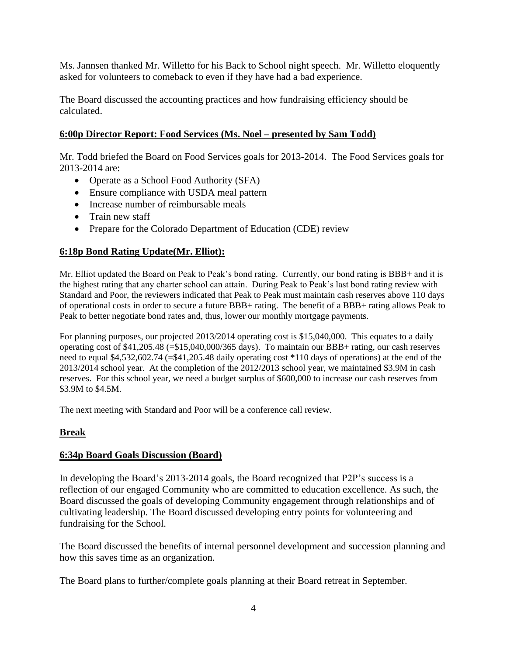Ms. Jannsen thanked Mr. Willetto for his Back to School night speech. Mr. Willetto eloquently asked for volunteers to comeback to even if they have had a bad experience.

The Board discussed the accounting practices and how fundraising efficiency should be calculated.

## **6:00p Director Report: Food Services (Ms. Noel – presented by Sam Todd)**

Mr. Todd briefed the Board on Food Services goals for 2013-2014. The Food Services goals for 2013-2014 are:

- Operate as a School Food Authority (SFA)
- Ensure compliance with USDA meal pattern
- Increase number of reimbursable meals
- Train new staff
- Prepare for the Colorado Department of Education (CDE) review

## **6:18p Bond Rating Update(Mr. Elliot):**

Mr. Elliot updated the Board on Peak to Peak's bond rating. Currently, our bond rating is BBB+ and it is the highest rating that any charter school can attain. During Peak to Peak's last bond rating review with Standard and Poor, the reviewers indicated that Peak to Peak must maintain cash reserves above 110 days of operational costs in order to secure a future BBB+ rating. The benefit of a BBB+ rating allows Peak to Peak to better negotiate bond rates and, thus, lower our monthly mortgage payments.

For planning purposes, our projected 2013/2014 operating cost is \$15,040,000. This equates to a daily operating cost of \$41,205.48 (=\$15,040,000/365 days). To maintain our BBB+ rating, our cash reserves need to equal \$4,532,602.74 (=\$41,205.48 daily operating cost \*110 days of operations) at the end of the 2013/2014 school year. At the completion of the 2012/2013 school year, we maintained \$3.9M in cash reserves. For this school year, we need a budget surplus of \$600,000 to increase our cash reserves from \$3.9M to \$4.5M.

The next meeting with Standard and Poor will be a conference call review.

## **Break**

## **6:34p Board Goals Discussion (Board)**

In developing the Board's 2013-2014 goals, the Board recognized that P2P's success is a reflection of our engaged Community who are committed to education excellence. As such, the Board discussed the goals of developing Community engagement through relationships and of cultivating leadership. The Board discussed developing entry points for volunteering and fundraising for the School.

The Board discussed the benefits of internal personnel development and succession planning and how this saves time as an organization.

The Board plans to further/complete goals planning at their Board retreat in September.